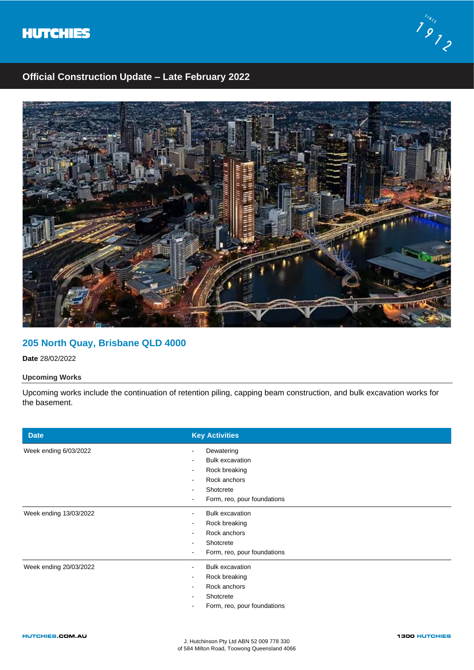



# **Official Construction Update – Late February 2022**



## **205 North Quay, Brisbane QLD 4000**

**Date** 28/02/2022

### **Upcoming Works**

Upcoming works include the continuation of retention piling, capping beam construction, and bulk excavation works for the basement.

| <b>Date</b>                      | <b>Key Activities</b>                |
|----------------------------------|--------------------------------------|
| Week ending 6/03/2022            | Dewatering<br><b>Bulk excavation</b> |
|                                  | Rock breaking                        |
|                                  | Rock anchors                         |
|                                  | Shotcrete                            |
|                                  | Form, reo, pour foundations          |
| Week ending 13/03/2022<br>۰      | <b>Bulk excavation</b>               |
|                                  | Rock breaking                        |
|                                  | Rock anchors                         |
|                                  | Shotcrete                            |
|                                  | Form, reo, pour foundations          |
| Week ending 20/03/2022<br>$\sim$ | <b>Bulk excavation</b>               |
| $\sim$                           | Rock breaking                        |
| ۰                                | Rock anchors                         |
|                                  | Shotcrete                            |
|                                  | Form, reo, pour foundations          |